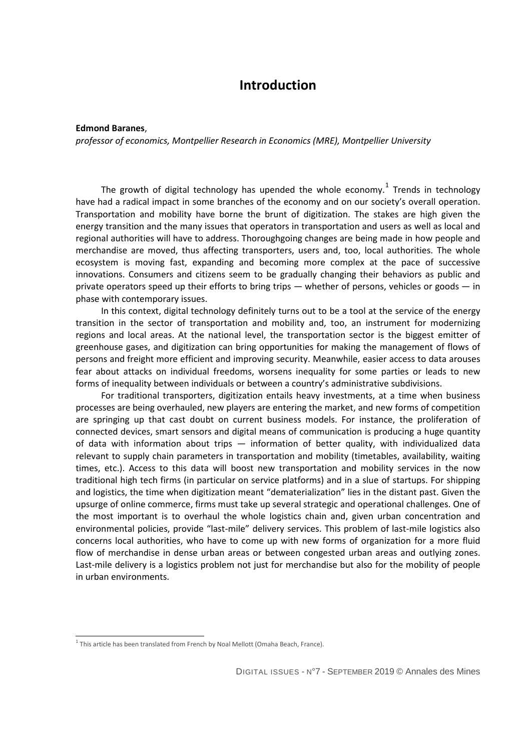## **Introduction**

## **Edmond Baranes**,

*professor of economics, Montpellier Research in Economics (MRE), Montpellier University*

The growth of digital technology has upended the whole economy. $^{1}$  $^{1}$  $^{1}$  Trends in technology have had a radical impact in some branches of the economy and on our society's overall operation. Transportation and mobility have borne the brunt of digitization. The stakes are high given the energy transition and the many issues that operators in transportation and users as well as local and regional authorities will have to address. Thoroughgoing changes are being made in how people and merchandise are moved, thus affecting transporters, users and, too, local authorities. The whole ecosystem is moving fast, expanding and becoming more complex at the pace of successive innovations. Consumers and citizens seem to be gradually changing their behaviors as public and private operators speed up their efforts to bring trips — whether of persons, vehicles or goods — in phase with contemporary issues.

In this context, digital technology definitely turns out to be a tool at the service of the energy transition in the sector of transportation and mobility and, too, an instrument for modernizing regions and local areas. At the national level, the transportation sector is the biggest emitter of greenhouse gases, and digitization can bring opportunities for making the management of flows of persons and freight more efficient and improving security. Meanwhile, easier access to data arouses fear about attacks on individual freedoms, worsens inequality for some parties or leads to new forms of inequality between individuals or between a country's administrative subdivisions.

For traditional transporters, digitization entails heavy investments, at a time when business processes are being overhauled, new players are entering the market, and new forms of competition are springing up that cast doubt on current business models. For instance, the proliferation of connected devices, smart sensors and digital means of communication is producing a huge quantity of data with information about trips — information of better quality, with individualized data relevant to supply chain parameters in transportation and mobility (timetables, availability, waiting times, etc.). Access to this data will boost new transportation and mobility services in the now traditional high tech firms (in particular on service platforms) and in a slue of startups. For shipping and logistics, the time when digitization meant "dematerialization" lies in the distant past. Given the upsurge of online commerce, firms must take up several strategic and operational challenges. One of the most important is to overhaul the whole logistics chain and, given urban concentration and environmental policies, provide "last-mile" delivery services. This problem of last-mile logistics also concerns local authorities, who have to come up with new forms of organization for a more fluid flow of merchandise in dense urban areas or between congested urban areas and outlying zones. Last-mile delivery is a logistics problem not just for merchandise but also for the mobility of people in urban environments.

-

<span id="page-0-0"></span> $1$  This article has been translated from French by Noal Mellott (Omaha Beach, France).